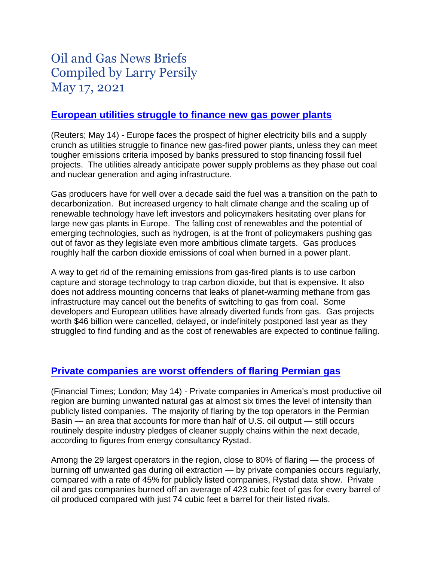# Oil and Gas News Briefs Compiled by Larry Persily May 17, 2021

#### **[European utilities struggle to finance new gas power plants](https://www.nasdaq.com/articles/analysis-gas-faces-existential-crisis-in-climate-wary-europe-2021-05-14)**

(Reuters; May 14) - Europe faces the prospect of higher electricity bills and a supply crunch as utilities struggle to finance new gas-fired power plants, unless they can meet tougher emissions criteria imposed by banks pressured to stop financing fossil fuel projects. The utilities already anticipate power supply problems as they phase out coal and nuclear generation and aging infrastructure.

Gas producers have for well over a decade said the fuel was a transition on the path to decarbonization. But increased urgency to halt climate change and the scaling up of renewable technology have left investors and policymakers hesitating over plans for large new gas plants in Europe. The falling cost of renewables and the potential of emerging technologies, such as hydrogen, is at the front of policymakers pushing gas out of favor as they legislate even more ambitious climate targets. Gas produces roughly half the carbon dioxide emissions of coal when burned in a power plant.

A way to get rid of the remaining emissions from gas-fired plants is to use carbon capture and storage technology to trap carbon dioxide, but that is expensive. It also does not address mounting concerns that leaks of planet-warming methane from gas infrastructure may cancel out the benefits of switching to gas from coal. Some developers and European utilities have already diverted funds from gas. Gas projects worth \$46 billion were cancelled, delayed, or indefinitely postponed last year as they struggled to find funding and as the cost of renewables are expected to continue falling.

#### **[Private companies are worst offenders of](https://www.ft.com/content/3f97b614-b514-4d92-aba3-4c038d96ecc9) flaring Permian gas**

(Financial Times; London; May 14) - Private companies in America's most productive oil region are burning unwanted natural gas at almost six times the level of intensity than publicly listed companies. The majority of flaring by the top operators in the Permian Basin — an area that accounts for more than half of U.S. oil output — still occurs routinely despite industry pledges of cleaner supply chains within the next decade, according to figures from energy consultancy Rystad.

Among the 29 largest operators in the region, close to 80% of flaring — the process of burning off unwanted gas during oil extraction — by private companies occurs regularly, compared with a rate of 45% for publicly listed companies, Rystad data show. Private oil and gas companies burned off an average of 423 cubic feet of gas for every barrel of oil produced compared with just 74 cubic feet a barrel for their listed rivals.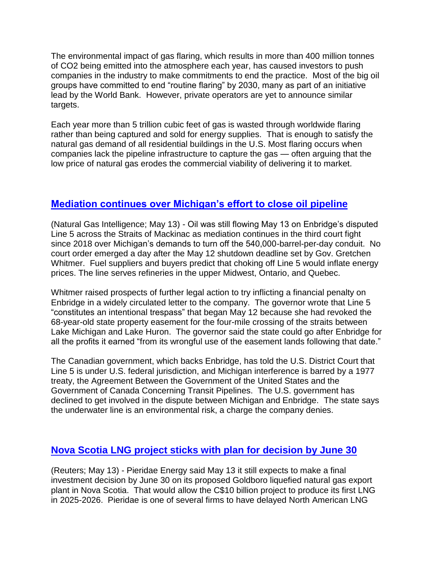The environmental impact of gas flaring, which results in more than 400 million tonnes of CO2 being emitted into the atmosphere each year, has caused investors to push companies in the industry to make commitments to end the practice. Most of the big oil groups have committed to end "routine flaring" by 2030, many as part of an initiative lead by the World Bank. However, private operators are yet to announce similar targets.

Each year more than 5 trillion cubic feet of gas is wasted through worldwide flaring rather than being captured and sold for energy supplies. That is enough to satisfy the natural gas demand of all residential buildings in the U.S. Most flaring occurs when companies lack the pipeline infrastructure to capture the gas — often arguing that the low price of natural gas erodes the commercial viability of delivering it to market.

# **[Mediation continues over Michigan's effort to close oil pipeline](https://www.naturalgasintel.com/enbridge-line-5-still-moving-oil-across-straits-of-mackinac-as-mediation-continues/)**

(Natural Gas Intelligence; May 13) - Oil was still flowing May 13 on Enbridge's disputed Line 5 across the Straits of Mackinac as mediation continues in the third court fight since 2018 over Michigan's demands to turn off the 540,000-barrel-per-day conduit. No court order emerged a day after the May 12 shutdown deadline set by Gov. Gretchen Whitmer. Fuel suppliers and buyers predict that choking off Line 5 would inflate energy prices. The line serves refineries in the upper Midwest, Ontario, and Quebec.

Whitmer raised prospects of further legal action to try inflicting a financial penalty on Enbridge in a widely circulated letter to the company. The governor wrote that Line 5 "constitutes an intentional trespass" that began May 12 because she had revoked the 68-year-old state property easement for the four-mile crossing of the straits between Lake Michigan and Lake Huron. The governor said the state could go after Enbridge for all the profits it earned "from its wrongful use of the easement lands following that date."

The Canadian government, which backs Enbridge, has told the U.S. District Court that Line 5 is under U.S. federal jurisdiction, and Michigan interference is barred by a 1977 treaty, the Agreement Between the Government of the United States and the Government of Canada Concerning Transit Pipelines. The U.S. government has declined to get involved in the dispute between Michigan and Enbridge. The state says the underwater line is an environmental risk, a charge the company denies.

# **[Nova Scotia LNG project sticks with plan for decision by June 30](https://www.nasdaq.com/articles/pieridae-moves-closer-to-june-decision-on-nova-scotia-lng-export-plant-2021-05-13)**

(Reuters; May 13) - Pieridae Energy said May 13 it still expects to make a final investment decision by June 30 on its proposed Goldboro liquefied natural gas export plant in Nova Scotia. That would allow the C\$10 billion project to produce its first LNG in 2025-2026. Pieridae is one of several firms to have delayed North American LNG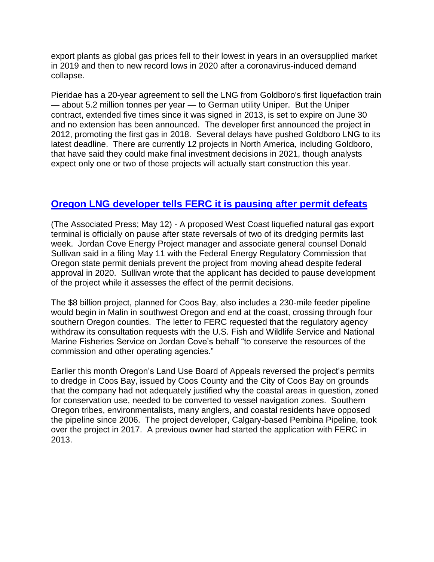export plants as global gas prices fell to their lowest in years in an oversupplied market in 2019 and then to new record lows in 2020 after a coronavirus-induced demand collapse.

Pieridae has a 20-year agreement to sell the LNG from Goldboro's first liquefaction train — about 5.2 million tonnes per year — to German utility Uniper. But the Uniper contract, extended five times since it was signed in 2013, is set to expire on June 30 and no extension has been announced. The developer first announced the project in 2012, promoting the first gas in 2018. Several delays have pushed Goldboro LNG to its latest deadline. There are currently 12 projects in North America, including Goldboro, that have said they could make final investment decisions in 2021, though analysts expect only one or two of those projects will actually start construction this year.

# **[Oregon LNG developer tells FERC it is pausing after permit defeats](https://www.seattletimes.com/seattle-news/northwest/natural-gas-terminal-plans-in-oregon-on-pause/)**

(The Associated Press; May 12) - A proposed West Coast liquefied natural gas export terminal is officially on pause after state reversals of two of its dredging permits last week. Jordan Cove Energy Project manager and associate general counsel Donald Sullivan said in a filing May 11 with the Federal Energy Regulatory Commission that Oregon state permit denials prevent the project from moving ahead despite federal approval in 2020. Sullivan wrote that the applicant has decided to pause development of the project while it assesses the effect of the permit decisions.

The \$8 billion project, planned for Coos Bay, also includes a 230-mile feeder pipeline would begin in Malin in southwest Oregon and end at the coast, crossing through four southern Oregon counties. The letter to FERC requested that the regulatory agency withdraw its consultation requests with the U.S. Fish and Wildlife Service and National Marine Fisheries Service on Jordan Cove's behalf "to conserve the resources of the commission and other operating agencies."

Earlier this month Oregon's Land Use Board of Appeals reversed the project's permits to dredge in Coos Bay, issued by Coos County and the City of Coos Bay on grounds that the company had not adequately justified why the coastal areas in question, zoned for conservation use, needed to be converted to vessel navigation zones. Southern Oregon tribes, environmentalists, many anglers, and coastal residents have opposed the pipeline since 2006. The project developer, Calgary-based Pembina Pipeline, took over the project in 2017. A previous owner had started the application with FERC in 2013.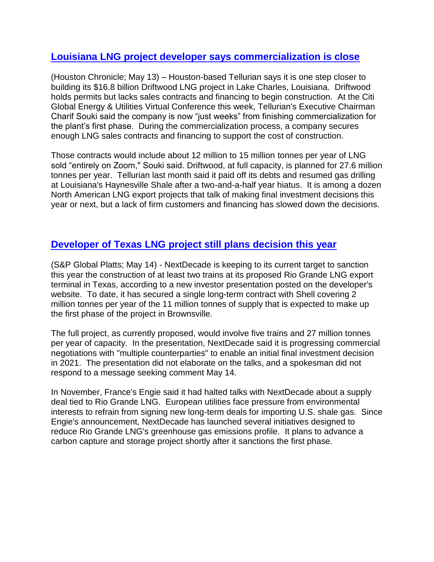### **[Louisiana LNG project developer says commercialization is close](https://www.houstonchronicle.com/business/energy/article/Phase-one-of-Tellurian-s-Driftwood-LNG-plant-16174176.php)**

(Houston Chronicle; May 13) – Houston-based Tellurian says it is one step closer to building its \$16.8 billion Driftwood LNG project in Lake Charles, Louisiana. Driftwood holds permits but lacks sales contracts and financing to begin construction. At the Citi Global Energy & Utilities Virtual Conference this week, Tellurian's Executive Chairman Charif Souki said the company is now "just weeks" from finishing commercialization for the plant's first phase. During the commercialization process, a company secures enough LNG sales contracts and financing to support the cost of construction.

Those contracts would include about 12 million to 15 million tonnes per year of LNG sold "entirely on Zoom," Souki said. Driftwood, at full capacity, is planned for 27.6 million tonnes per year. Tellurian last month said it paid off its debts and resumed gas drilling at Louisiana's Haynesville Shale after a two-and-a-half year hiatus. It is among a dozen North American LNG export projects that talk of making final investment decisions this year or next, but a lack of firm customers and financing has slowed down the decisions.

## **Developer of Texas LNG [project still plans decision](https://www.spglobal.com/platts/en/market-insights/podcasts/crude/051121-us-pipelines-cyberthreats-colonial-shutdown) this year**

(S&P Global Platts; May 14) - NextDecade is keeping to its current target to sanction this year the construction of at least two trains at its proposed Rio Grande LNG export terminal in Texas, according to a new investor presentation posted on the developer's website. To date, it has secured a single long-term contract with Shell covering 2 million tonnes per year of the 11 million tonnes of supply that is expected to make up the first phase of the project in Brownsville.

The full project, as currently proposed, would involve five trains and 27 million tonnes per year of capacity. In the presentation, NextDecade said it is progressing commercial negotiations with "multiple counterparties" to enable an initial final investment decision in 2021. The presentation did not elaborate on the talks, and a spokesman did not respond to a message seeking comment May 14.

In November, France's Engie said it had halted talks with NextDecade about a supply deal tied to Rio Grande LNG. European utilities face pressure from environmental interests to refrain from signing new long-term deals for importing U.S. shale gas. Since Engie's announcement, NextDecade has launched several initiatives designed to reduce Rio Grande LNG's greenhouse gas emissions profile. It plans to advance a carbon capture and storage project shortly after it sanctions the first phase.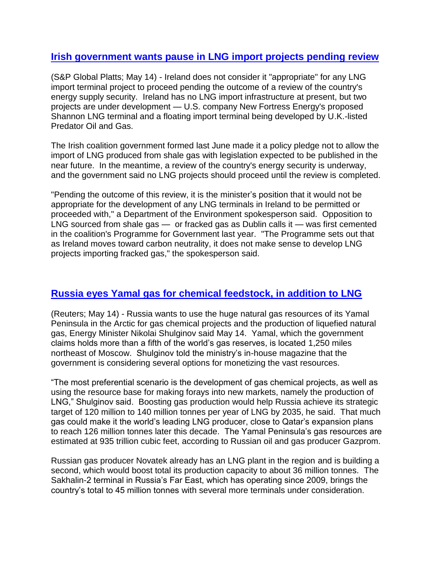#### **[Irish government wants pause in LNG import projects pending review](https://www.spglobal.com/platts/en/market-insights/latest-news/natural-gas/051421-ireland-advises-against-all-lng-project-developments-during-energy-review)**

(S&P Global Platts; May 14) - Ireland does not consider it "appropriate" for any LNG import terminal project to proceed pending the outcome of a review of the country's energy supply security. Ireland has no LNG import infrastructure at present, but two projects are under development — U.S. company New Fortress Energy's proposed Shannon LNG terminal and a floating import terminal being developed by U.K.-listed Predator Oil and Gas.

The Irish coalition government formed last June made it a policy pledge not to allow the import of LNG produced from shale gas with legislation expected to be published in the near future. In the meantime, a review of the country's energy security is underway, and the government said no LNG projects should proceed until the review is completed.

"Pending the outcome of this review, it is the minister's position that it would not be appropriate for the development of any LNG terminals in Ireland to be permitted or proceeded with," a Department of the Environment spokesperson said. Opposition to LNG sourced from shale gas — or fracked gas as Dublin calls it — was first cemented in the coalition's Programme for Government last year. "The Programme sets out that as Ireland moves toward carbon neutrality, it does not make sense to develop LNG projects importing fracked gas," the spokesperson said.

## **[Russia eyes Yamal gas for chemical feedstock, in addition to LNG](https://financialpost.com/pmn/business-pmn/russia-eyes-arctic-yamal-gas-for-chemical-projects-lng-minister)**

(Reuters; May 14) - Russia wants to use the huge natural gas resources of its Yamal Peninsula in the Arctic for gas chemical projects and the production of liquefied natural gas, Energy Minister Nikolai Shulginov said May 14. Yamal, which the government claims holds more than a fifth of the world's gas reserves, is located 1,250 miles northeast of Moscow. Shulginov told the ministry's in-house magazine that the government is considering several options for monetizing the vast resources.

"The most preferential scenario is the development of gas chemical projects, as well as using the resource base for making forays into new markets, namely the production of LNG," Shulginov said. Boosting gas production would help Russia achieve its strategic target of 120 million to 140 million tonnes per year of LNG by 2035, he said. That much gas could make it the world's leading LNG producer, close to Qatar's expansion plans to reach 126 million tonnes later this decade. The Yamal Peninsula's gas resources are estimated at 935 trillion cubic feet, according to Russian oil and gas producer Gazprom.

Russian gas producer Novatek already has an LNG plant in the region and is building a second, which would boost total its production capacity to about 36 million tonnes. The Sakhalin-2 terminal in Russia's Far East, which has operating since 2009, brings the country's total to 45 million tonnes with several more terminals under consideration.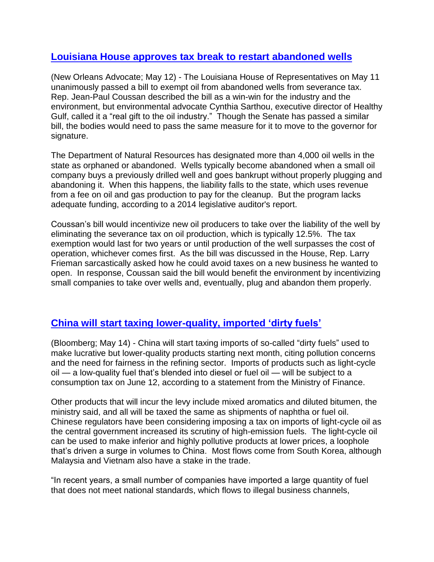### **[Louisiana House approves tax break to restart abandoned wells](https://www.nola.com/news/politics/article_98078d44-b375-11eb-b9df-6b97f41df49e.html)**

(New Orleans Advocate; May 12) - The Louisiana House of Representatives on May 11 unanimously passed a bill to exempt oil from abandoned wells from severance tax. Rep. Jean-Paul Coussan described the bill as a win-win for the industry and the environment, but environmental advocate Cynthia Sarthou, executive director of Healthy Gulf, called it a "real gift to the oil industry." Though the Senate has passed a similar bill, the bodies would need to pass the same measure for it to move to the governor for signature.

The Department of Natural Resources has designated more than 4,000 oil wells in the state as orphaned or abandoned. Wells typically become abandoned when a small oil company buys a previously drilled well and goes bankrupt without properly plugging and abandoning it. When this happens, the liability falls to the state, which uses revenue from a fee on oil and gas production to pay for the cleanup. But the program lacks adequate funding, according to a 2014 legislative auditor's report.

Coussan's bill would incentivize new oil producers to take over the liability of the well by eliminating the severance tax on oil production, which is typically 12.5%. The tax exemption would last for two years or until production of the well surpasses the cost of operation, whichever comes first. As the bill was discussed in the House, Rep. Larry Frieman sarcastically asked how he could avoid taxes on a new business he wanted to open. In response, Coussan said the bill would benefit the environment by incentivizing small companies to take over wells and, eventually, plug and abandon them properly.

# **[China will start taxing lower-quality,](https://www.bloomberg.com/news/articles/2021-05-14/china-to-tax-dirty-oil-flows-from-next-month-citing-pollution) imported 'dirty fuels'**

(Bloomberg; May 14) - China will start taxing imports of so-called "dirty fuels" used to make lucrative but lower-quality products starting next month, citing pollution concerns and the need for fairness in the refining sector. Imports of products such as light-cycle oil — a low-quality fuel that's blended into diesel or fuel oil — will be subject to a consumption tax on June 12, according to a statement from the Ministry of Finance.

Other products that will incur the levy include mixed aromatics and diluted bitumen, the ministry said, and all will be taxed the same as shipments of naphtha or fuel oil. Chinese regulators have been considering imposing a tax on imports of light-cycle oil as the central government increased its scrutiny of high-emission fuels. The light-cycle oil can be used to make inferior and highly pollutive products at lower prices, a loophole that's driven a surge in volumes to China. Most flows come from South Korea, although Malaysia and Vietnam also have a stake in the trade.

"In recent years, a small number of companies have imported a large quantity of fuel that does not meet national standards, which flows to illegal business channels,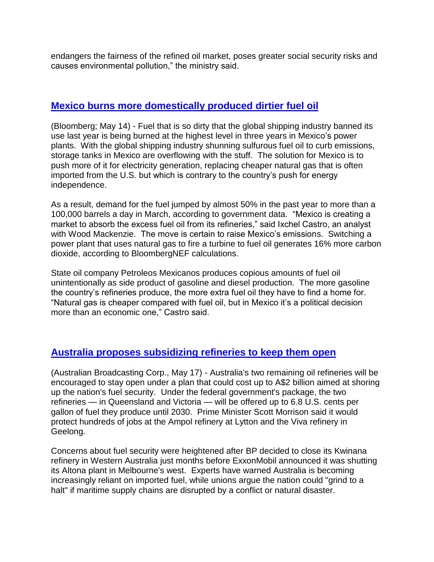endangers the fairness of the refined oil market, poses greater social security risks and causes environmental pollution," the ministry said.

#### **[Mexico burns more domestically produced dirtier fuel oil](https://financialpost.com/pmn/business-pmn/mexican-power-plants-boost-dirty-fuel-oil-use-shun-natural-gas)**

(Bloomberg; May 14) - Fuel that is so dirty that the global shipping industry banned its use last year is being burned at the highest level in three years in Mexico's power plants. With the global shipping industry shunning sulfurous fuel oil to curb emissions, storage tanks in Mexico are overflowing with the stuff. The solution for Mexico is to push more of it for electricity generation, replacing cheaper natural gas that is often imported from the U.S. but which is contrary to the country's push for energy independence.

As a result, demand for the fuel jumped by almost 50% in the past year to more than a 100,000 barrels a day in March, according to government data. "Mexico is creating a market to absorb the excess fuel oil from its refineries," said Ixchel Castro, an analyst with Wood Mackenzie. The move is certain to raise Mexico's emissions. Switching a power plant that uses natural gas to fire a turbine to fuel oil generates 16% more carbon dioxide, according to BloombergNEF calculations.

State oil company Petroleos Mexicanos produces copious amounts of fuel oil unintentionally as side product of gasoline and diesel production. The more gasoline the country's refineries produce, the more extra fuel oil they have to find a home for. "Natural gas is cheaper compared with fuel oil, but in Mexico it's a political decision more than an economic one," Castro said.

## **[Australia proposes subsidizing refineries to keep them open](https://www.abc.net.au/news/2021-05-17/oil-refineries-urged-to-stay-in-australia/100143108)**

(Australian Broadcasting Corp., May 17) - Australia's two remaining oil refineries will be encouraged to stay open under a plan that could cost up to A\$2 billion aimed at shoring up the nation's fuel security. Under the federal government's package, the two refineries — in Queensland and Victoria — will be offered up to 6.8 U.S. cents per gallon of fuel they produce until 2030. Prime Minister Scott Morrison said it would protect hundreds of jobs at the Ampol refinery at Lytton and the Viva refinery in Geelong.

Concerns about fuel security were heightened after BP decided to close its Kwinana refinery in Western Australia just months before ExxonMobil announced it was shutting its Altona plant in Melbourne's west. Experts have warned Australia is becoming increasingly reliant on imported fuel, while unions argue the nation could "grind to a halt" if maritime supply chains are disrupted by a conflict or natural disaster.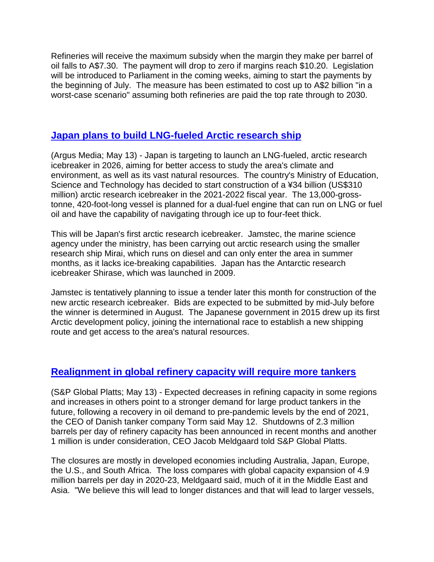Refineries will receive the maximum subsidy when the margin they make per barrel of oil falls to A\$7.30. The payment will drop to zero if margins reach \$10.20. Legislation will be introduced to Parliament in the coming weeks, aiming to start the payments by the beginning of July. The measure has been estimated to cost up to A\$2 billion "in a worst-case scenario" assuming both refineries are paid the top rate through to 2030.

#### **[Japan plans to build LNG-fueled Arctic research ship](https://www.argusmedia.com/en/news/2214591-japan-planning-lngfuelled-arctic-research-icebreaker?backToResults=true)**

(Argus Media; May 13) - Japan is targeting to launch an LNG-fueled, arctic research icebreaker in 2026, aiming for better access to study the area's climate and environment, as well as its vast natural resources. The country's Ministry of Education, Science and Technology has decided to start construction of a ¥34 billion (US\$310 million) arctic research icebreaker in the 2021-2022 fiscal year. The 13,000-grosstonne, 420-foot-long vessel is planned for a dual-fuel engine that can run on LNG or fuel oil and have the capability of navigating through ice up to four-feet thick.

This will be Japan's first arctic research icebreaker. Jamstec, the marine science agency under the ministry, has been carrying out arctic research using the smaller research ship Mirai, which runs on diesel and can only enter the area in summer months, as it lacks ice-breaking capabilities. Japan has the Antarctic research icebreaker Shirase, which was launched in 2009.

Jamstec is tentatively planning to issue a tender later this month for construction of the new arctic research icebreaker. Bids are expected to be submitted by mid-July before the winner is determined in August. The Japanese government in 2015 drew up its first Arctic development policy, joining the international race to establish a new shipping route and get access to the area's natural resources.

## **[Realignment in global refinery capacity will require more tankers](https://www.spglobal.com/platts/en/market-insights/latest-news/natural-gas/051321-interview-torm-banks-on-long-term-strength-of-large-oil-product-tankers)**

(S&P Global Platts; May 13) - Expected decreases in refining capacity in some regions and increases in others point to a stronger demand for large product tankers in the future, following a recovery in oil demand to pre-pandemic levels by the end of 2021, the CEO of Danish tanker company Torm said May 12. Shutdowns of 2.3 million barrels per day of refinery capacity has been announced in recent months and another 1 million is under consideration, CEO Jacob Meldgaard told S&P Global Platts.

The closures are mostly in developed economies including Australia, Japan, Europe, the U.S., and South Africa. The loss compares with global capacity expansion of 4.9 million barrels per day in 2020-23, Meldgaard said, much of it in the Middle East and Asia. "We believe this will lead to longer distances and that will lead to larger vessels,